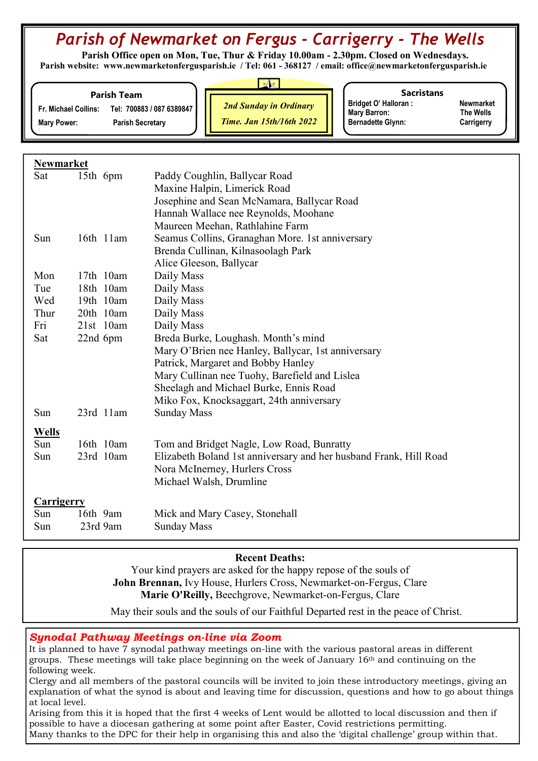# Parish of Newmarket on Fergus - Carrigerry - The Wells

 Parish Office open on Mon, Tue, Thur & Friday 10.00am - 2.30pm. Closed on Wednesdays. Parish website: www.newmarketonfergusparish.ie / Tel: 061 - 368127 / email: office@newmarketonfergusparish.ie

#### Parish Team

Fr. Michael Collins: Tel: 700883 / 087 6389847

Mary Power: Parish Secretary

2nd Sunday in Ordinary

Time. Jan 15th/16th 2022

**Sacristans** 

Bridget O' Halloran : Newmarket<br>
Mary Barron: The Wells Mary Barron: Bernadette Glynn: Carrigerry

# Newmarket

| Maxine Halpin, Limerick Road<br>Josephine and Sean McNamara, Ballycar Road<br>Hannah Wallace nee Reynolds, Moohane<br>Maureen Meehan, Rathlahine Farm<br>Seamus Collins, Granaghan More. 1st anniversary<br>16th 11am<br>Sun<br>Brenda Cullinan, Kilnasoolagh Park<br>Alice Gleeson, Ballycar<br>Mon<br>17th 10am<br>Daily Mass<br>18th 10am<br>Tue<br>Daily Mass<br>Wed<br>19th 10am<br>Daily Mass<br>Thur<br>20th 10am<br>Daily Mass<br>Daily Mass<br>$21st$ 10am<br>Fri<br>Sat<br>22nd 6pm<br>Breda Burke, Loughash. Month's mind<br>Mary O'Brien nee Hanley, Ballycar, 1st anniversary<br>Patrick, Margaret and Bobby Hanley<br>Mary Cullinan nee Tuohy, Barefield and Lislea<br>Sheelagh and Michael Burke, Ennis Road<br>Miko Fox, Knocksaggart, 24th anniversary<br>23rd 11am<br><b>Sunday Mass</b><br>Sun<br><b>Wells</b><br>Sun<br>16th 10am<br>Tom and Bridget Nagle, Low Road, Bunratty<br>23rd 10am<br>Elizabeth Boland 1st anniversary and her husband Frank, Hill Road<br>Sun<br>Nora McInerney, Hurlers Cross<br>Michael Walsh, Drumline<br><b>Carrigerry</b><br>16th 9am<br>Mick and Mary Casey, Stonehall<br>Sun<br>Sun<br>23rd 9am<br><b>Sunday Mass</b> | Sat | 15th 6pm | Paddy Coughlin, Ballycar Road |  |
|----------------------------------------------------------------------------------------------------------------------------------------------------------------------------------------------------------------------------------------------------------------------------------------------------------------------------------------------------------------------------------------------------------------------------------------------------------------------------------------------------------------------------------------------------------------------------------------------------------------------------------------------------------------------------------------------------------------------------------------------------------------------------------------------------------------------------------------------------------------------------------------------------------------------------------------------------------------------------------------------------------------------------------------------------------------------------------------------------------------------------------------------------------------------------|-----|----------|-------------------------------|--|
|                                                                                                                                                                                                                                                                                                                                                                                                                                                                                                                                                                                                                                                                                                                                                                                                                                                                                                                                                                                                                                                                                                                                                                            |     |          |                               |  |
|                                                                                                                                                                                                                                                                                                                                                                                                                                                                                                                                                                                                                                                                                                                                                                                                                                                                                                                                                                                                                                                                                                                                                                            |     |          |                               |  |
|                                                                                                                                                                                                                                                                                                                                                                                                                                                                                                                                                                                                                                                                                                                                                                                                                                                                                                                                                                                                                                                                                                                                                                            |     |          |                               |  |
|                                                                                                                                                                                                                                                                                                                                                                                                                                                                                                                                                                                                                                                                                                                                                                                                                                                                                                                                                                                                                                                                                                                                                                            |     |          |                               |  |
|                                                                                                                                                                                                                                                                                                                                                                                                                                                                                                                                                                                                                                                                                                                                                                                                                                                                                                                                                                                                                                                                                                                                                                            |     |          |                               |  |
|                                                                                                                                                                                                                                                                                                                                                                                                                                                                                                                                                                                                                                                                                                                                                                                                                                                                                                                                                                                                                                                                                                                                                                            |     |          |                               |  |
|                                                                                                                                                                                                                                                                                                                                                                                                                                                                                                                                                                                                                                                                                                                                                                                                                                                                                                                                                                                                                                                                                                                                                                            |     |          |                               |  |
|                                                                                                                                                                                                                                                                                                                                                                                                                                                                                                                                                                                                                                                                                                                                                                                                                                                                                                                                                                                                                                                                                                                                                                            |     |          |                               |  |
|                                                                                                                                                                                                                                                                                                                                                                                                                                                                                                                                                                                                                                                                                                                                                                                                                                                                                                                                                                                                                                                                                                                                                                            |     |          |                               |  |
|                                                                                                                                                                                                                                                                                                                                                                                                                                                                                                                                                                                                                                                                                                                                                                                                                                                                                                                                                                                                                                                                                                                                                                            |     |          |                               |  |
|                                                                                                                                                                                                                                                                                                                                                                                                                                                                                                                                                                                                                                                                                                                                                                                                                                                                                                                                                                                                                                                                                                                                                                            |     |          |                               |  |
|                                                                                                                                                                                                                                                                                                                                                                                                                                                                                                                                                                                                                                                                                                                                                                                                                                                                                                                                                                                                                                                                                                                                                                            |     |          |                               |  |
|                                                                                                                                                                                                                                                                                                                                                                                                                                                                                                                                                                                                                                                                                                                                                                                                                                                                                                                                                                                                                                                                                                                                                                            |     |          |                               |  |
|                                                                                                                                                                                                                                                                                                                                                                                                                                                                                                                                                                                                                                                                                                                                                                                                                                                                                                                                                                                                                                                                                                                                                                            |     |          |                               |  |
|                                                                                                                                                                                                                                                                                                                                                                                                                                                                                                                                                                                                                                                                                                                                                                                                                                                                                                                                                                                                                                                                                                                                                                            |     |          |                               |  |
|                                                                                                                                                                                                                                                                                                                                                                                                                                                                                                                                                                                                                                                                                                                                                                                                                                                                                                                                                                                                                                                                                                                                                                            |     |          |                               |  |
|                                                                                                                                                                                                                                                                                                                                                                                                                                                                                                                                                                                                                                                                                                                                                                                                                                                                                                                                                                                                                                                                                                                                                                            |     |          |                               |  |
|                                                                                                                                                                                                                                                                                                                                                                                                                                                                                                                                                                                                                                                                                                                                                                                                                                                                                                                                                                                                                                                                                                                                                                            |     |          |                               |  |
|                                                                                                                                                                                                                                                                                                                                                                                                                                                                                                                                                                                                                                                                                                                                                                                                                                                                                                                                                                                                                                                                                                                                                                            |     |          |                               |  |
|                                                                                                                                                                                                                                                                                                                                                                                                                                                                                                                                                                                                                                                                                                                                                                                                                                                                                                                                                                                                                                                                                                                                                                            |     |          |                               |  |
|                                                                                                                                                                                                                                                                                                                                                                                                                                                                                                                                                                                                                                                                                                                                                                                                                                                                                                                                                                                                                                                                                                                                                                            |     |          |                               |  |
|                                                                                                                                                                                                                                                                                                                                                                                                                                                                                                                                                                                                                                                                                                                                                                                                                                                                                                                                                                                                                                                                                                                                                                            |     |          |                               |  |
|                                                                                                                                                                                                                                                                                                                                                                                                                                                                                                                                                                                                                                                                                                                                                                                                                                                                                                                                                                                                                                                                                                                                                                            |     |          |                               |  |
|                                                                                                                                                                                                                                                                                                                                                                                                                                                                                                                                                                                                                                                                                                                                                                                                                                                                                                                                                                                                                                                                                                                                                                            |     |          |                               |  |
|                                                                                                                                                                                                                                                                                                                                                                                                                                                                                                                                                                                                                                                                                                                                                                                                                                                                                                                                                                                                                                                                                                                                                                            |     |          |                               |  |
|                                                                                                                                                                                                                                                                                                                                                                                                                                                                                                                                                                                                                                                                                                                                                                                                                                                                                                                                                                                                                                                                                                                                                                            |     |          |                               |  |
|                                                                                                                                                                                                                                                                                                                                                                                                                                                                                                                                                                                                                                                                                                                                                                                                                                                                                                                                                                                                                                                                                                                                                                            |     |          |                               |  |
|                                                                                                                                                                                                                                                                                                                                                                                                                                                                                                                                                                                                                                                                                                                                                                                                                                                                                                                                                                                                                                                                                                                                                                            |     |          |                               |  |

# Recent Deaths:

Your kind prayers are asked for the happy repose of the souls of John Brennan, Ivy House, Hurlers Cross, Newmarket-on-Fergus, Clare Marie O'Reilly, Beechgrove, Newmarket-on-Fergus, Clare

May their souls and the souls of our Faithful Departed rest in the peace of Christ.

# Synodal Pathway Meetings on-line via Zoom

It is planned to have 7 synodal pathway meetings on-line with the various pastoral areas in different groups. These meetings will take place beginning on the week of January 16th and continuing on the following week.

Clergy and all members of the pastoral councils will be invited to join these introductory meetings, giving an explanation of what the synod is about and leaving time for discussion, questions and how to go about things at local level.

Arising from this it is hoped that the first 4 weeks of Lent would be allotted to local discussion and then if possible to have a diocesan gathering at some point after Easter, Covid restrictions permitting. Many thanks to the DPC for their help in organising this and also the 'digital challenge' group within that.